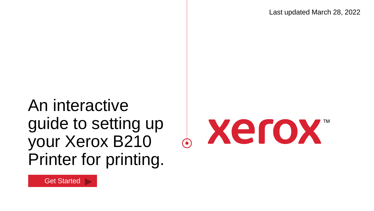Last updated March 28, 2022

An interactive guide to setting up your Xerox B210 Printer for printing.



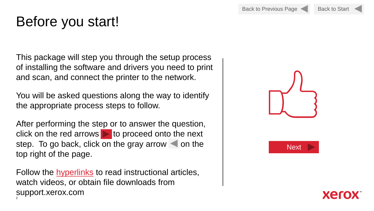# <span id="page-1-0"></span>Before you start!

This package will step you through the setup process of installing the software and drivers you need to print and scan, and connect the printer to the network.

You will be asked questions along the way to identify the appropriate process steps to follow.

After performing the step or to answer the question, click on the red arrows  $\triangleright$  to proceed onto the next step. To go back, click on the gray arrow  $\blacktriangleleft$  on the top right of the page.

2 Follow the hyperlinks to read instructional articles, watch videos, or obtain file downloads from support.xerox.com



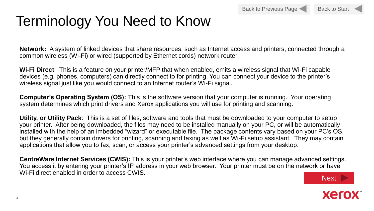

# Terminology You Need to Know

**Network:** A system of linked devices that share resources, such as Internet access and printers, connected through a common wireless (Wi-Fi) or wired (supported by Ethernet cords) network router.

**Wi-Fi Direct**: This is a feature on your printer/MFP that when enabled, emits a wireless signal that Wi-Fi capable devices (e.g. phones, computers) can directly connect to for printing. You can connect your device to the printer's wireless signal just like you would connect to an Internet router's Wi-Fi signal.

**Computer's Operating System (OS):** This is the software version that your computer is running. Your operating system determines which print drivers and Xerox applications you will use for printing and scanning.

**Utility, or Utility Pack**: This is a set of files, software and tools that must be downloaded to your computer to setup your printer. After being downloaded, the files may need to be installed manually on your PC, or will be automatically installed with the help of an imbedded "wizard" or executable file. The package contents vary based on your PC's OS, but they generally contain drivers for printing, scanning and faxing as well as Wi-Fi setup assistant. They may contain applications that allow you to fax, scan, or access your printer's advanced settings from your desktop.

**CentreWare Internet Services (CWIS):** This is your printer's web interface where you can manage advanced settings. You access it by entering your printer's IP address in your web browser. Your printer must be on the network or have Wi-Fi direct enabled in order to access CWIS.



xer

3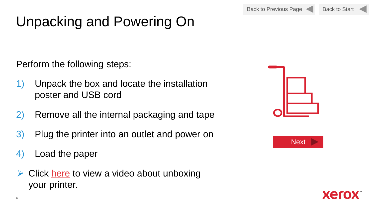Back to Previous Page



# Unpacking and Powering On

Perform the following steps:

- 1) Unpack the box and locate the installation poster and USB cord
- 2) Remove all the internal packaging and tape
- 3) Plug the printer into an outlet and power on
- 4) Load the paper
- $\triangleright$  Click [here](https://www.support.xerox.com/en-us/product/xerox-b210-printer/content/145358#video) to view a video about unboxing your printer.





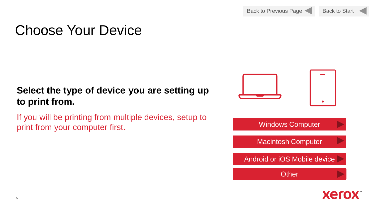# Choose Your Device

### **Select the type of device you are setting up to print from.**

If you will be printing from multiple devices, setup to print from your computer first.



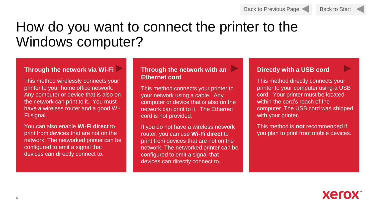#### Back to Start

# How do you want to connect the printer to the Windows computer?

#### **Through the network via [Wi-Fi](#page-7-0)**

This method wirelessly connects your printer to your home office network. Any computer or device that is also on the network can print to it. You must have a wireless router and a good Wi-Fi signal.

You can also enable **Wi-Fi direct** to print from devices that are not on the network. The networked printer can be configured to emit a signal that devices can directly connect to.

#### **Through the network with an Ethernet cord**

This method connects your printer to your network using a cable. Any computer or device that is also on the network can print to it. The Ethernet cord is not provided.

If you do not have a wireless network router, you can use **Wi-Fi direct** to print from devices that are not on the network. The networked printer can be configured to emit a signal that devices can directly connect to.

#### **Directly with a USB cord**

This method directly connects your printer to your computer using a USB cord. Your printer must be located within the cord's reach of the computer. The USB cord was shipped with your printer.

This method is **not** recommended if you plan to print from mobile devices.

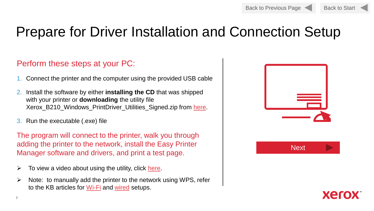

# Prepare for Driver Installation and Connection Setup

#### Perform these steps at your PC:

- 1. Connect the printer and the computer using the provided USB cable
- 2. Install the software by either **installing the CD** that was shipped with your printer or **downloading** the utility file Xerox\_B210\_Windows\_PrintDriver\_Utilities\_Signed.zip from [here.](https://www.support.xerox.com/en-us/product/xerox-b210-printer/content/145486)
- 3. Run the executable (.exe) file

The program will connect to the printer, walk you through adding the printer to the network, install the Easy Printer Manager software and drivers, and print a test page.

- $\triangleright$  To view a video about using the utility, click [here.](https://www.support.xerox.com/en-us/product/xerox-b215-multifunction-printer/content/145362)
- $\triangleright$  Note: to manually add the printer to the network using WPS, refer to the KB articles for [Wi-Fi](https://www.support.xerox.com/en-us/article/en/2125303) and [wired](https://www.support.xerox.com/en-us/article/en/2108709) setups.



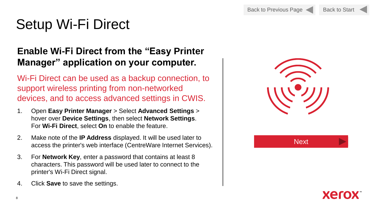# <span id="page-7-0"></span>Setup Wi-Fi Direct

#### **Enable Wi-Fi Direct from the "Easy Printer Manager" application on your computer.**

Wi-Fi Direct can be used as a backup connection, to support wireless printing from non-networked devices, and to access advanced settings in CWIS.

- 1. Open **Easy Printer Manager** > Select **Advanced Settings** > hover over **Device Settings**, then select **Network Settings**. For **Wi-Fi Direct**, select **On** to enable the feature.
- 2. Make note of the **IP Address** displayed. It will be used later to access the printer's web interface (CentreWare Internet Services).
- 3. For **Network Key**, enter a password that contains at least 8 characters. This password will be used later to connect to the printer's Wi-Fi Direct signal.
- 4. Click **Save** to save the settings.



**Next** 

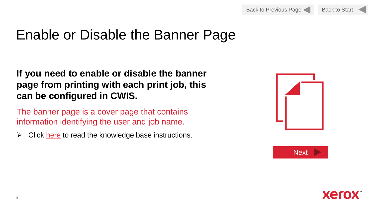## Enable or Disable the Banner Page

#### **If you need to enable or disable the banner page from printing with each print job, this can be configured in CWIS.**

The banner page is a cover page that contains information identifying the user and job name.

 $\triangleright$  Click [here](https://www.support.xerox.com/en-us/article/en/2109110) to read the knowledge base instructions.





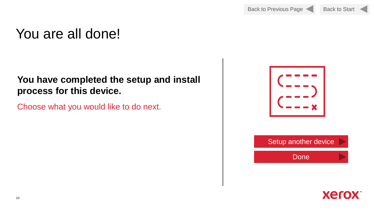# You are all done!

#### **You have completed the setup and install process for this device.**

Choose what you would like to do next.



Done

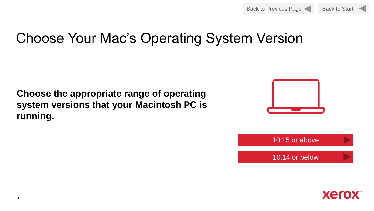



## Choose Your Mac's Operating System Version

#### **Choose the appropriate range of operating system versions that your Macintosh PC is running.**



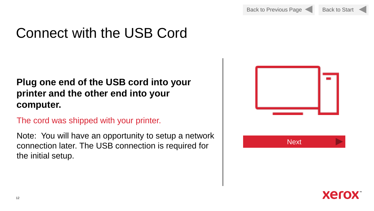

# Connect with the USB Cord

#### **Plug one end of the USB cord into your printer and the other end into your computer.**

The cord was shipped with your printer.

Note: You will have an opportunity to setup a network connection later. The USB connection is required for the initial setup.



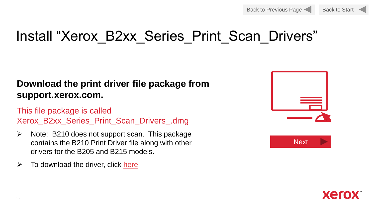

# Install "Xerox\_B2xx\_Series\_Print\_Scan\_Drivers"

#### **Download the print driver file package from support.xerox.com.**

This file package is called Xerox\_B2xx\_Series\_Print\_Scan\_Drivers\_.dmg

- $\triangleright$  Note: B210 does not support scan. This package contains the B210 Print Driver file along with other drivers for the B205 and B215 models.
- $\triangleright$  To download the driver, click [here.](https://www.support.xerox.com/en-us/product/xerox-b210-printer/content/146521)





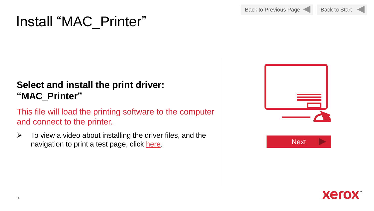## Install "MAC\_Printer"

### **Select and install the print driver: "MAC\_Printer"**

This file will load the printing software to the computer and connect to the printer.

 $\triangleright$  To view a video about installing the driver files, and the navigation to print a test page, click [here](https://www.support.xerox.com/en-us/product/xerox-b210-printer/content/145666).





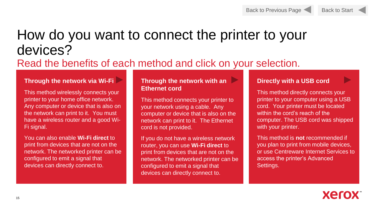#### Back to Previous Page

Back to Start

# How do you want to connect the printer to your devices?

### Read the benefits of each method and click on your selection.

#### **Through the network via [Wi-Fi](#page-7-0)**

This method wirelessly connects your printer to your home office network. Any computer or device that is also on the network can print to it. You must have a wireless router and a good Wi-Fi signal.

You can also enable **Wi-Fi direct** to print from devices that are not on the network. The networked printer can be configured to emit a signal that devices can directly connect to.

#### **Through the network with an Ethernet cord**

This method connects your printer to your network using a cable. Any computer or device that is also on the network can print to it. The Ethernet cord is not provided.

If you do not have a wireless network router, you can use **Wi-Fi direct** to print from devices that are not on the network. The networked printer can be configured to emit a signal that devices can directly connect to.

#### **Directly with a USB cord**

This method directly connects your printer to your computer using a USB cord. Your printer must be located within the cord's reach of the computer. The USB cord was shipped with your printer.

This method is **not** recommended if you plan to print from mobile devices, or use Centreware Internet Services to access the printer's Advanced Settings.

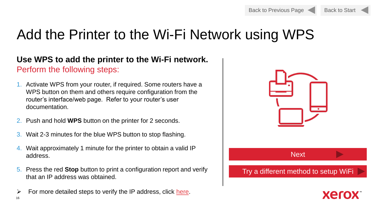

# Add the Printer to the Wi-Fi Network using WPS

#### **Use WPS to add the printer to the Wi-Fi network.**  Perform the following steps:

- 1. Activate WPS from your router, if required. Some routers have a WPS button on them and others require configuration from the router's interface/web page. Refer to your router's user documentation.
- 2. Push and hold **WPS** button on the printer for 2 seconds.
- 3. Wait 2-3 minutes for the blue WPS button to stop flashing.
- 4. Wait approximately 1 minute for the printer to obtain a valid IP address.
- 5. Press the red **Stop** button to print a configuration report and verify that an IP address was obtained.
- 16  $\triangleright$  For more detailed steps to verify the IP address, click [here.](https://www.support.xerox.com/en-us/article/en/2125303)



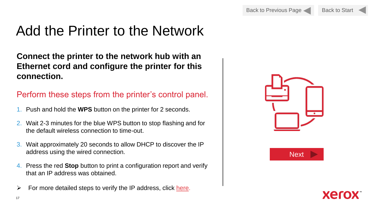# Add the Printer to the Network

**Connect the printer to the network hub with an Ethernet cord and configure the printer for this connection.** 

#### Perform these steps from the printer's control panel.

- 1. Push and hold the **WPS** button on the printer for 2 seconds.
- 2. Wait 2-3 minutes for the blue WPS button to stop flashing and for the default wireless connection to time-out.
- 3. Wait approximately 20 seconds to allow DHCP to discover the IP address using the wired connection.
- 4. Press the red **Stop** button to print a configuration report and verify that an IP address was obtained.
- $\triangleright$  For more detailed steps to verify the IP address, click [here](https://www.support.xerox.com/en-us/article/en/2108709).





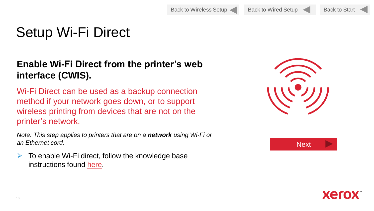Back to Wireless Setup Back to Wired Setup

Back to Start

# Setup Wi-Fi Direct

#### **Enable Wi-Fi Direct from the printer's web interface (CWIS).**

Wi-Fi Direct can be used as a backup connection method if your network goes down, or to support wireless printing from devices that are not on the printer's network.

*Note: This step applies to printers that are on a network using Wi-Fi or an Ethernet cord.* 

 $\triangleright$  To enable Wi-Fi direct, follow the knowledge base instructions found [here](https://www.support.xerox.com/en-us/article/en/2108706).





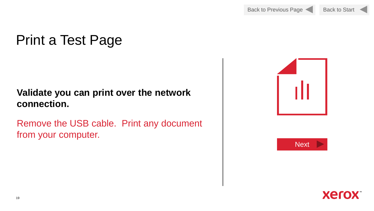# Print a Test Page

#### **Validate you can print over the network connection.**

Remove the USB cable. Print any document from your computer.





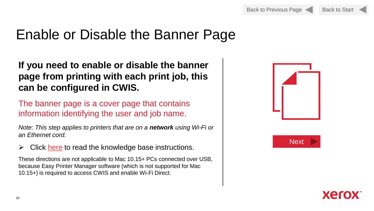## Enable or Disable the Banner Page

**If you need to enable or disable the banner page from printing with each print job, this can be configured in CWIS.**

The banner page is a cover page that contains information identifying the user and job name.

*Note: This step applies to printers that are on a network using Wi-Fi or an Ethernet cord.* 

 $\triangleright$  Click [here](https://www.support.xerox.com/en-us/article/en/2108492) to read the knowledge base instructions.

These directions are not applicable to Mac 10.15+ PCs connected over USB, because Easy Printer Manager software (which is not supported for Mac 10.15+) is required to access CWIS and enable Wi-Fi Direct.





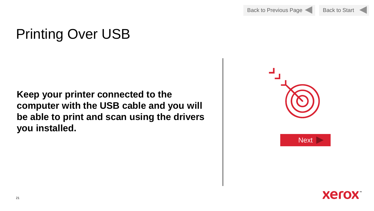# Printing Over USB

**Keep your printer connected to the computer with the USB cable and you will be able to print and scan using the drivers you installed.**



**Next** 

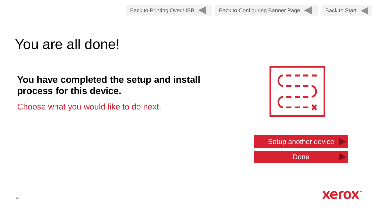# You are all done!

#### **You have completed the setup and install process for this device.**

Choose what you would like to do next.



Done

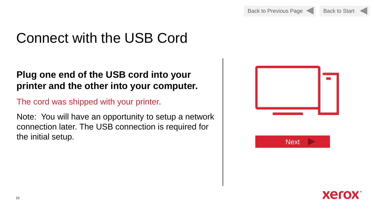Back to Start

# Connect with the USB Cord

#### **Plug one end of the USB cord into your printer and the other into your computer.**

The cord was shipped with your printer.

Note: You will have an opportunity to setup a network connection later. The USB connection is required for the initial setup. Next and the initial setup.



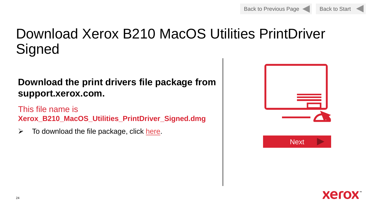# Download Xerox B210 MacOS Utilities PrintDriver **Signed**

#### **Download the print drivers file package from support.xerox.com.**

This file name is **Xerox\_B210\_MacOS\_Utilities\_PrintDriver\_Signed.dmg**

 $\triangleright$  To download the file package, click [here.](https://www.support.xerox.com/en-us/product/xerox-b210-printer/content/145468)



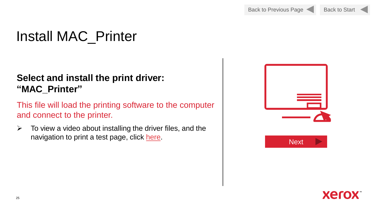# Install MAC\_Printer

#### **Select and install the print driver: "MAC\_Printer"**

This file will load the printing software to the computer and connect to the printer.

 $\triangleright$  To view a video about installing the driver files, and the navigation to print a test page, click [here](https://www.support.xerox.com/en-us/product/xerox-b210-printer/content/145666).





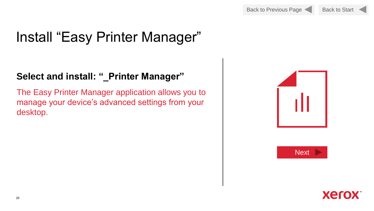

# Install "Easy Printer Manager"

#### **Select and install: "\_Printer Manager"**

The Easy Printer Manager application allows you to manage your device's advanced settings from your desktop.





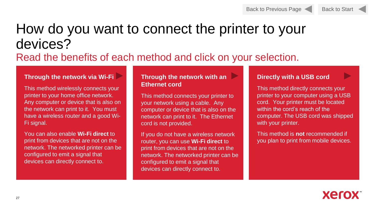

## How do you want to connect the printer to your devices?

### Read the benefits of each method and click on your selection.

#### **Through the network via [Wi-Fi](#page-7-0)**

This method wirelessly connects your printer to your home office network. Any computer or device that is also on the network can print to it. You must have a wireless router and a good Wi-Fi signal.

You can also enable **Wi-Fi direct** to print from devices that are not on the network. The networked printer can be configured to emit a signal that devices can directly connect to.

#### **Through the network with an Ethernet cord**

This method connects your printer to your network using a cable. Any computer or device that is also on the network can print to it. The Ethernet cord is not provided.

If you do not have a wireless network router, you can use **Wi-Fi direct** to print from devices that are not on the network. The networked printer can be configured to emit a signal that devices can directly connect to.

#### **Directly with a USB cord**

This method directly connects your printer to your computer using a USB cord. Your printer must be located within the cord's reach of the computer. The USB cord was shipped with your printer.

This method is **not** recommended if you plan to print from mobile devices.

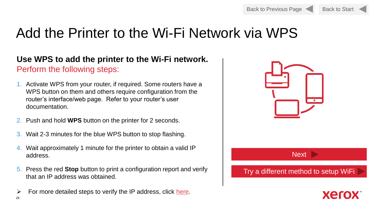

## Add the Printer to the Wi-Fi Network via WPS

#### **Use WPS to add the printer to the Wi-Fi network.**  Perform the following steps:

- 1. Activate WPS from your router, if required. Some routers have a WPS button on them and others require configuration from the router's interface/web page. Refer to your router's user documentation.
- 2. Push and hold **WPS** button on the printer for 2 seconds.
- 3. Wait 2-3 minutes for the blue WPS button to stop flashing.
- 4. Wait approximately 1 minute for the printer to obtain a valid IP address.
- 5. Press the red **Stop** button to print a configuration report and verify that an IP address was obtained.
- 28  $\triangleright$  For more detailed steps to verify the IP address, click [here.](https://www.support.xerox.com/en-us/article/en/2125303)



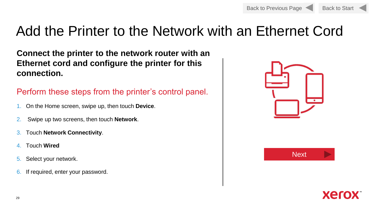

## Add the Printer to the Network with an Ethernet Cord

**Connect the printer to the network router with an Ethernet cord and configure the printer for this connection.** 

#### Perform these steps from the printer's control panel.

- 1. On the Home screen, swipe up, then touch **Device**.
- 2. Swipe up two screens, then touch **Network**.
- 3. Touch **Network Connectivity**.
- 4. Touch **Wired**
- 5. Select your network.
- 6. If required, enter your password.





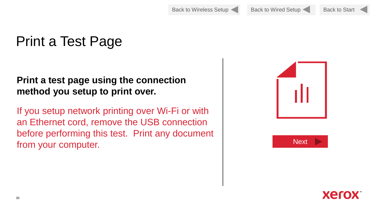Back to Wireless Setup Back to Wired Setup

Back to Start

# Print a Test Page

#### **Print a test page using the connection method you setup to print over.**

If you setup network printing over Wi-Fi or with an Ethernet cord, remove the USB connection before performing this test. Print any document from your computer.





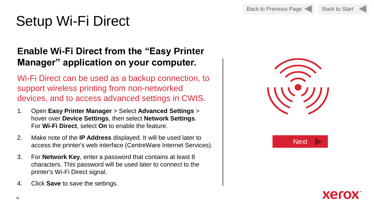# Setup Wi-Fi Direct

#### **Enable Wi-Fi Direct from the "Easy Printer Manager" application on your computer.**

Wi-Fi Direct can be used as a backup connection, to support wireless printing from non-networked devices, and to access advanced settings in CWIS.

- 1. Open **Easy Printer Manager** > Select **Advanced Settings** > hover over **Device Settings**, then select **Network Settings**. For **Wi-Fi Direct**, select **On** to enable the feature.
- 2. Make note of the **IP Address** displayed. It will be used later to access the printer's web interface (CentreWare Internet Services).
- 3. For **Network Key**, enter a password that contains at least 8 characters. This password will be used later to connect to the printer's Wi-Fi Direct signal.
- 4. Click **Save** to save the settings.





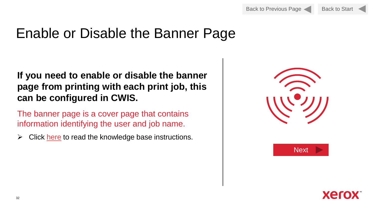## Enable or Disable the Banner Page

#### **If you need to enable or disable the banner page from printing with each print job, this can be configured in CWIS.**

The banner page is a cover page that contains information identifying the user and job name.

 $\triangleright$  Click [here](https://www.support.xerox.com/en-us/article/en/2108492) to read the knowledge base instructions.





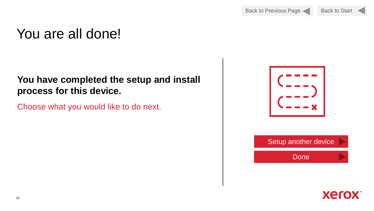## You are all done!

#### **You have completed the setup and install process for this device.**

Choose what you would like to do next.



Done

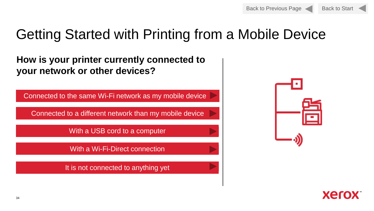

# Getting Started with Printing from a Mobile Device

**How is your printer currently connected to your network or other devices?**

Connected to the same Wi-Fi network as my mobile device

Connected to a different network than my mobile device

With a USB cord to a computer

With a Wi-Fi-Direct connection

It is not connected to anything yet



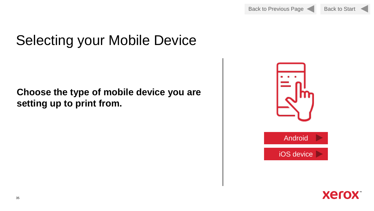Back to Previous Page Back to Start



# Selecting your Mobile Device

### **Choose the type of mobile device you are setting up to print from.**



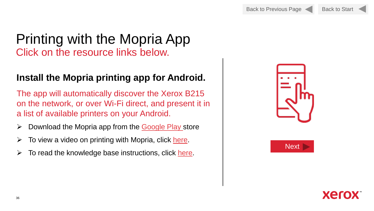Back to Previous Page Back to Start

### Printing with the Mopria App Click on the resource links below.

#### **Install the Mopria printing app for Android.**

The app will automatically discover the Xerox B215 on the network, or over Wi-Fi direct, and present it in a list of available printers on your Android.

- $\triangleright$  Download the Mopria app from the [Google Play](https://play.google.com/store/apps/details?id=org.mopria.printplugin&hl=en) store
- $\triangleright$  To view a video on printing with Mopria, click [here](https://www.support.xerox.com/en-us/product/xerox-b210-printer/content/145356).
- $\triangleright$  To read the knowledge base instructions, click [here.](https://www.support.xerox.com/en-us/article/en/2129054)





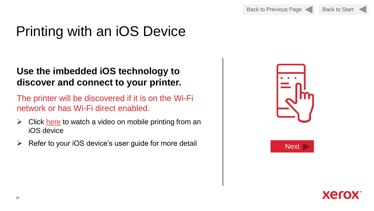# Printing with an iOS Device

#### **Use the imbedded iOS technology to discover and connect to your printer.**

The printer will be discovered if it is on the Wi-Fi network or has Wi-Fi direct enabled.

- $\triangleright$  Click [here](https://www.youtube.com/watch?v=xwRFoe_yMt4) to watch a video on mobile printing from an iOS device
- > Refer to your iOS device's user guide for more detail | Next ▶ Next





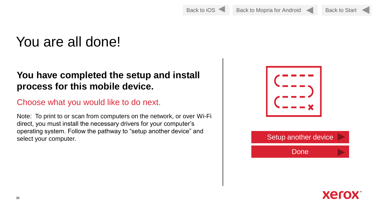# You are all done!

#### **You have completed the setup and install process for this mobile device.**

#### Choose what you would like to do next.

Note: To print to or scan from computers on the network, or over Wi-Fi direct, you must install the necessary drivers for your computer's operating system. Follow the pathway to "setup another device" and select your computer. The computer of the setup another device





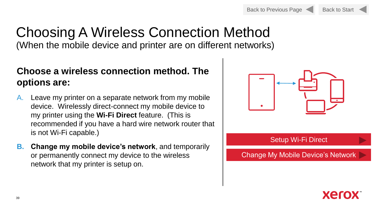

### Choosing A Wireless Connection Method (When the mobile device and printer are on different networks)

#### **Choose a wireless connection method. The options are:**

- A. Leave my printer on a separate network from my mobile device. Wirelessly direct-connect my mobile device to my printer using the **Wi-Fi Direct** feature. (This is recommended if you have a hard wire network router that is not Wi-Fi capable.)
- **B. Change my mobile device's network**, and temporarily or permanently connect my device to the wireless network that my printer is setup on.



#### Setup Wi-Fi Direct

Change My Mobile Device's Network

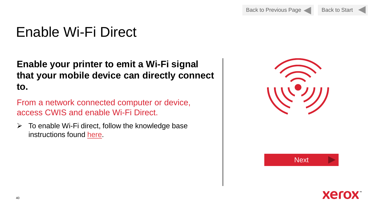# Enable Wi-Fi Direct

**Enable your printer to emit a Wi-Fi signal that your mobile device can directly connect to.**

From a network connected computer or device, access CWIS and enable Wi-Fi Direct.

 $\triangleright$  To enable Wi-Fi direct, follow the knowledge base instructions found [here](https://www.support.xerox.com/en-us/article/en/2108706).

| <b>Next</b> |
|-------------|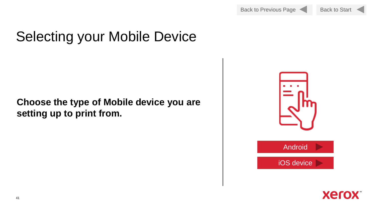

# <span id="page-40-0"></span>Selecting your Mobile Device

#### **Choose the type of Mobile device you are setting up to print from.**



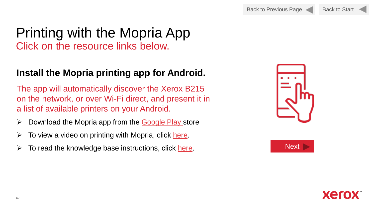### Printing with the Mopria App Click on the resource links below.

#### **Install the Mopria printing app for Android.**

The app will automatically discover the Xerox B215 on the network, or over Wi-Fi direct, and present it in a list of available printers on your Android.

- $\triangleright$  Download the Mopria app from the [Google Play](https://play.google.com/store/apps/details?id=org.mopria.printplugin&hl=en) store
- $\triangleright$  To view a video on printing with Mopria, click [here](https://www.support.xerox.com/en-us/product/xerox-b210-printer/content/145356).
- $\triangleright$  To read the knowledge base instructions, click [here.](https://www.support.xerox.com/en-us/article/en/2129054)  $\blacksquare$





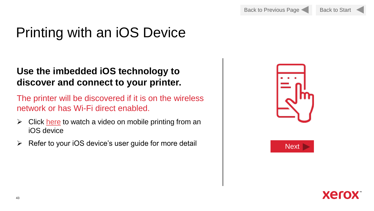# Printing with an iOS Device

#### **Use the imbedded iOS technology to discover and connect to your printer.**

The printer will be discovered if it is on the wireless network or has Wi-Fi direct enabled.

- $\triangleright$  Click [here](https://www.youtube.com/watch?v=xwRFoe_yMt4) to watch a video on mobile printing from an iOS device
- ➢ Refer to your iOS device's user guide for more detail Next





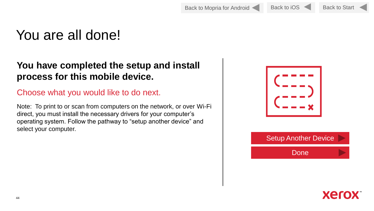Back to Mopria for Android Back to iOS Back to Start

## You are all done!

#### **You have completed the setup and install process for this mobile device.**

#### Choose what you would like to do next.

Note: To print to or scan from computers on the network, or over Wi-Fi direct, you must install the necessary drivers for your computer's operating system. Follow the pathway to "setup another device" and select your computer.



Setup Another Device

Done

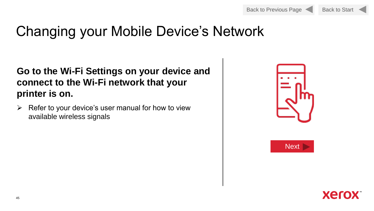# Changing your Mobile Device's Network

#### **Go to the Wi-Fi Settings on your device and connect to the Wi-Fi network that your printer is on.**

 $\triangleright$  Refer to your device's user manual for how to view available wireless signals





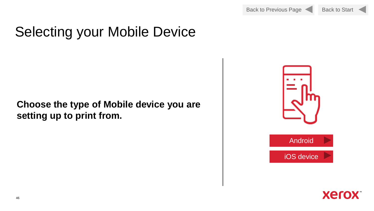

# Selecting your Mobile Device

#### **Choose the type of Mobile device you are setting up to print from.**



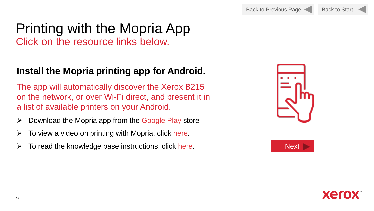### Printing with the Mopria App Click on the resource links below.

### **Install the Mopria printing app for Android.**

The app will automatically discover the Xerox B215 on the network, or over Wi-Fi direct, and present it in a list of available printers on your Android.

- $\triangleright$  Download the Mopria app from the [Google Play s](https://play.google.com/store/apps/details?id=org.mopria.printplugin&hl=en)tore
- $\triangleright$  To view a video on printing with Mopria, click [here](https://www.support.xerox.com/en-us/product/xerox-b210-printer/content/145356).
- **→** To read the knowledge base instructions, click [here.](https://www.support.xerox.com/en-us/article/en/2129054) Next Next





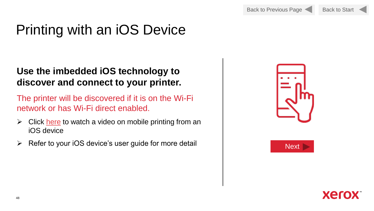# Printing with an iOS Device

#### **Use the imbedded iOS technology to discover and connect to your printer.**

The printer will be discovered if it is on the Wi-Fi network or has Wi-Fi direct enabled.

- $\triangleright$  Click [here](https://www.youtube.com/watch?v=xwRFoe_yMt4) to watch a video on mobile printing from an iOS device
- ➢ Refer to your iOS device's user guide for more detail Next





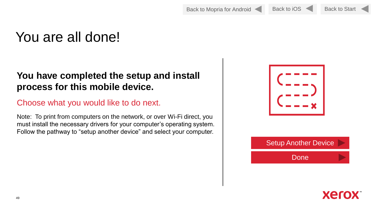Back to Mopria for Android Back to iOS Back to Start

Back to iOS

## You are all done!

#### **You have completed the setup and install process for this mobile device.**

#### Choose what you would like to do next.

Note: To print from computers on the network, or over Wi-Fi direct, you must install the necessary drivers for your computer's operating system. Follow the pathway to "setup another device" and select your computer.





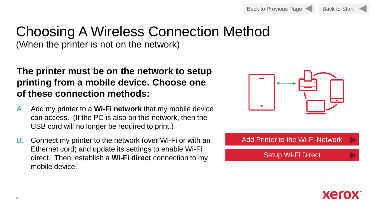Back to Start

### Choosing A Wireless Connection Method (When the printer is not on the network)

**The printer must be on the network to setup printing from a mobile device. Choose one of these connection methods:**

- A. Add my printer to a **Wi-Fi network** that my mobile device can access. (If the PC is also on this network, then the USB cord will no longer be required to print.)
- B. Connect my printer to the network (over Wi-Fi or with an Ethernet cord) and update its settings to enable Wi-Fi direct. Then, establish a **Wi-Fi direct** connection to my mobile device.



Add Printer to the Wi-Fi Network

Setup Wi-Fi Direct

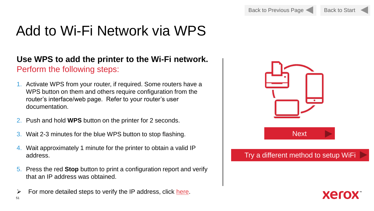# Add to Wi-Fi Network via WPS

#### **Use WPS to add the printer to the Wi-Fi network.**  Perform the following steps:

- 1. Activate WPS from your router, if required. Some routers have a WPS button on them and others require configuration from the router's interface/web page. Refer to your router's user documentation.
- 2. Push and hold **WPS** button on the printer for 2 seconds.
- 3. Wait 2-3 minutes for the blue WPS button to stop flashing.
- 4. Wait approximately 1 minute for the printer to obtain a valid IP address.
- 5. Press the red **Stop** button to print a configuration report and verify that an IP address was obtained.
- $\triangleright$  For more detailed steps to verify the IP address, click [here.](https://www.support.xerox.com/en-us/article/en/2125303)

51



#### Try a different method to setup WiFi

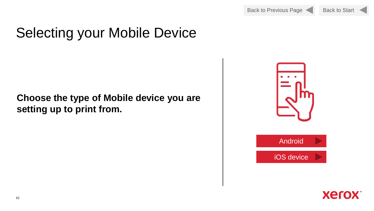



# Selecting your Mobile Device

#### **Choose the type of Mobile device you are setting up to print from.**



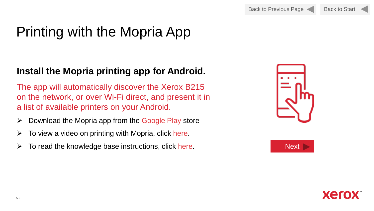# Printing with the Mopria App

#### **Install the Mopria printing app for Android.**

The app will automatically discover the Xerox B215 on the network, or over Wi-Fi direct, and present it in a list of available printers on your Android.

- $\triangleright$  Download the Mopria app from the [Google Play s](https://play.google.com/store/apps/details?id=org.mopria.printplugin&hl=en)tore
- $\triangleright$  To view a video on printing with Mopria, click [here](https://www.support.xerox.com/en-us/product/xerox-b210-printer/content/145356).
- $\triangleright$  To read the knowledge base instructions, click [here.](https://www.support.xerox.com/en-us/article/en/2129054) Next Next





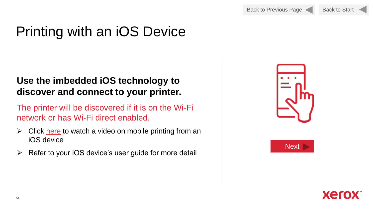

# Printing with an iOS Device

#### **Use the imbedded iOS technology to discover and connect to your printer.**

The printer will be discovered if it is on the Wi-Fi network or has Wi-Fi direct enabled.

- $\triangleright$  Click [here](https://www.youtube.com/watch?v=xwRFoe_yMt4) to watch a video on mobile printing from an iOS device
- ➢ Refer to your iOS device's user guide for more detail





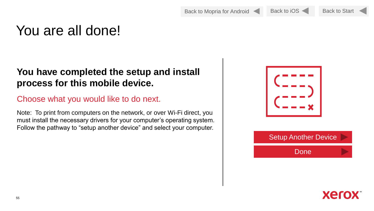Back to Mopria for Android Back to iOS

Back to Start

### You are all done!

#### **You have completed the setup and install process for this mobile device.**

#### Choose what you would like to do next.

Note: To print from computers on the network, or over Wi-Fi direct, you must install the necessary drivers for your computer's operating system. Follow the pathway to "setup another device" and select your computer.





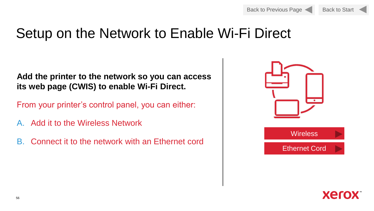

### Setup on the Network to Enable Wi-Fi Direct

**Add the printer to the network so you can access its web page (CWIS) to enable Wi-Fi Direct.** 

From your printer's control panel, you can either:

- A. Add it to the Wireless Network
- B. Connect it to the network with an Ethernet cord



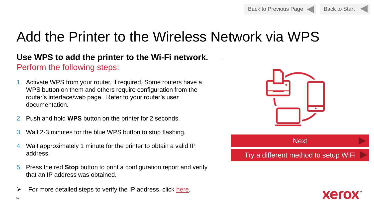

# Add the Printer to the Wireless Network via WPS

#### **Use WPS to add the printer to the Wi-Fi network.**  Perform the following steps:

- 1. Activate WPS from your router, if required. Some routers have a WPS button on them and others require configuration from the router's interface/web page. Refer to your router's user documentation.
- 2. Push and hold **WPS** button on the printer for 2 seconds.
- 3. Wait 2-3 minutes for the blue WPS button to stop flashing.
- 4. Wait approximately 1 minute for the printer to obtain a valid IP address.
- 5. Press the red **Stop** button to print a configuration report and verify that an IP address was obtained.
- $\triangleright$  For more detailed steps to verify the IP address, click [here.](https://www.support.xerox.com/en-us/article/en/2125303)



#### Try a different method to setup WiFi

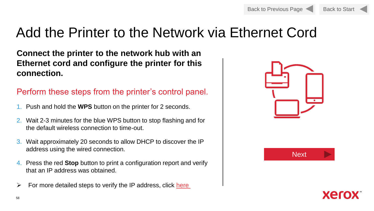

## Add the Printer to the Network via Ethernet Cord

**Connect the printer to the network hub with an Ethernet cord and configure the printer for this connection.** 

#### Perform these steps from the printer's control panel.

- 1. Push and hold the **WPS** button on the printer for 2 seconds.
- 2. Wait 2-3 minutes for the blue WPS button to stop flashing and for the default wireless connection to time-out.
- 3. Wait approximately 20 seconds to allow DHCP to discover the IP address using the wired connection.
- 4. Press the red **Stop** button to print a configuration report and verify that an IP address was obtained.
- $\triangleright$  For more detailed steps to verify the IP address, click here





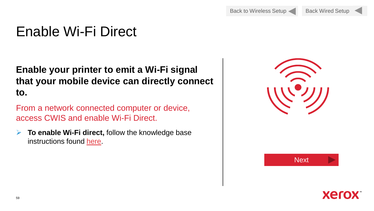# Enable Wi-Fi Direct

**Enable your printer to emit a Wi-Fi signal that your mobile device can directly connect to.**

From a network connected computer or device, access CWIS and enable Wi-Fi Direct.

➢ **To enable Wi-Fi direct,** follow the knowledge base instructions found [here.](https://www.support.xerox.com/en-us/article/en/2108706)

| <b>Next</b> |
|-------------|

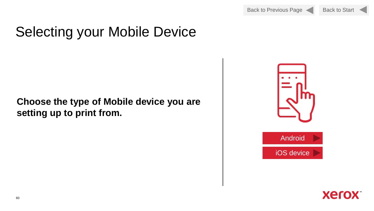

# Selecting your Mobile Device

#### **Choose the type of Mobile device you are setting up to print from.**



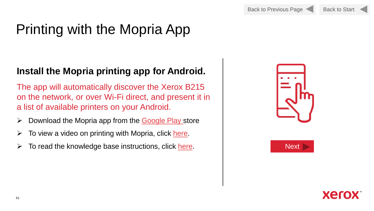# Printing with the Mopria App

### **Install the Mopria printing app for Android.**

The app will automatically discover the Xerox B215 on the network, or over Wi-Fi direct, and present it in a list of available printers on your Android.

- $\triangleright$  Download the Mopria app from the [Google Play s](https://play.google.com/store/apps/details?id=org.mopria.printplugin&hl=en)tore
- $\triangleright$  To view a video on printing with Mopria, click [here](https://www.support.xerox.com/en-us/product/xerox-b210-printer/content/145356).
- **→** To read the knowledge base instructions, click [here.](https://www.support.xerox.com/en-us/article/en/2129054) Next Next





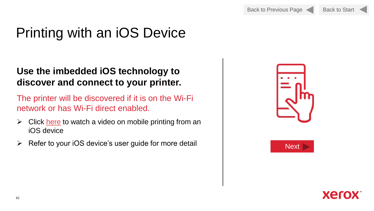# Printing with an iOS Device

#### **Use the imbedded iOS technology to discover and connect to your printer.**

The printer will be discovered if it is on the Wi-Fi network or has Wi-Fi direct enabled.

- $\triangleright$  Click [here](https://www.youtube.com/watch?v=xwRFoe_yMt4) to watch a video on mobile printing from an iOS device
- > Refer to your iOS device's user guide for more detail | Next ▶ Next





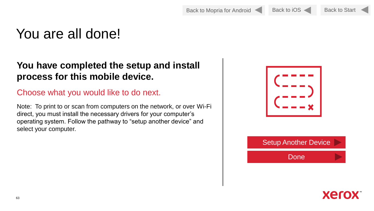Back to Mopria for Android Back to iOS

Back to Start

## You are all done!

#### **You have completed the setup and install process for this mobile device.**

#### Choose what you would like to do next.

Note: To print to or scan from computers on the network, or over Wi-Fi direct, you must install the necessary drivers for your computer's operating system. Follow the pathway to "setup another device" and select your computer.



Setup Another Device

Done

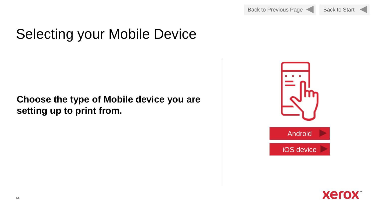

# Selecting your Mobile Device

#### **Choose the type of Mobile device you are setting up to print from.**



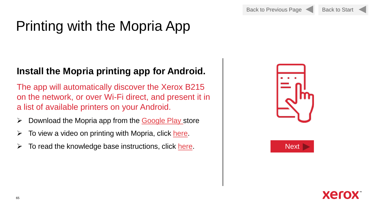# Printing with the Mopria App

#### **Install the Mopria printing app for Android.**

The app will automatically discover the Xerox B215 on the network, or over Wi-Fi direct, and present it in a list of available printers on your Android.

- $\triangleright$  Download the Mopria app from the [Google Play s](https://play.google.com/store/apps/details?id=org.mopria.printplugin&hl=en)tore
- $\triangleright$  To view a video on printing with Mopria, click [here](https://www.support.xerox.com/en-us/product/xerox-b210-printer/content/145356).
- $\triangleright$  To read the knowledge base instructions, click [here.](https://www.support.xerox.com/en-us/article/en/2129054) Next Next





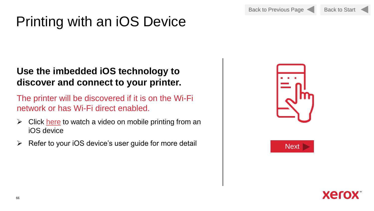Back to Previous Page



# <span id="page-65-0"></span>Printing with an iOS Device

#### **Use the imbedded iOS technology to discover and connect to your printer.**

The printer will be discovered if it is on the Wi-Fi network or has Wi-Fi direct enabled.

- $\triangleright$  Click [here](https://www.youtube.com/watch?v=xwRFoe_yMt4) to watch a video on mobile printing from an iOS device
- ➢ Refer to your iOS device's user guide for more detail Next





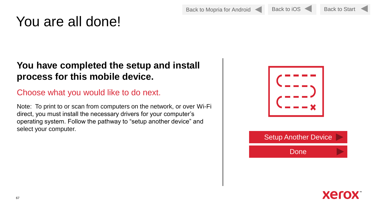Back to Mopria for Android Back to iO[S](#page-65-0)

Back to Start

# You are all done!

#### **You have completed the setup and install process for this mobile device.**

#### Choose what you would like to do next.

Note: To print to or scan from computers on the network, or over Wi-Fi direct, you must install the necessary drivers for your computer's operating system. Follow the pathway to "setup another device" and select your computer.



### Setup Another Device

Done



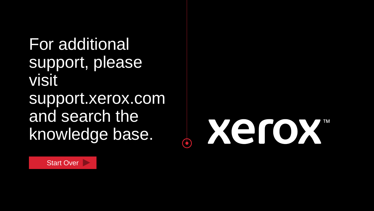For additional support, please visit support.xerox.com and search the knowledge base.

Xerox  $\phi$ 

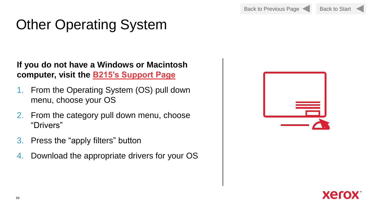# Other Operating System

**If you do not have a Windows or Macintosh computer, visit the [B215's Support Page](https://www.support.xerox.com/en-us/product/xerox-b215-multifunction-printer/downloads)**

- 1. From the Operating System (OS) pull down menu, choose your OS
- 2. From the category pull down menu, choose "Drivers"
- 3. Press the "apply filters" button
- 4. Download the appropriate drivers for your OS



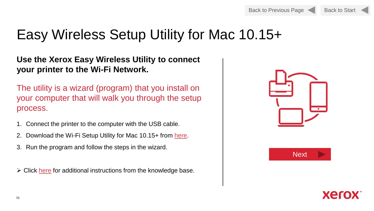

# Easy Wireless Setup Utility for Mac 10.15+

#### **Use the Xerox Easy Wireless Utility to connect your printer to the Wi-Fi Network.**

The utility is a wizard (program) that you install on your computer that will walk you through the setup process.

- 1. Connect the printer to the computer with the USB cable.
- 2. Download the Wi-Fi Setup Utility for Mac 10.15+ from [here](https://www.support.xerox.com/en-us/product/xerox-b210-printer/content/150014).
- 3. Run the program and follow the steps in the wizard.

 $\triangleright$  Click [here](https://www.support.xerox.com/en-us/article/en/2108711) for additional instructions from the knowledge base.





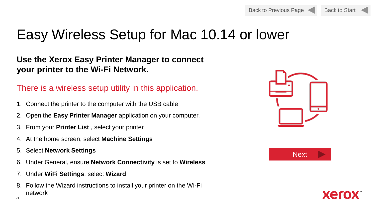

# Easy Wireless Setup for Mac 10.14 or lower

#### **Use the Xerox Easy Printer Manager to connect your printer to the Wi-Fi Network.**

#### There is a wireless setup utility in this application.

- 1. Connect the printer to the computer with the USB cable
- 2. Open the **Easy Printer Manager** application on your computer.
- 3. From your **Printer List** , select your printer
- 4. At the home screen, select **Machine Settings**
- 5. Select **Network Settings**
- 6. Under General, ensure **Network Connectivity** is set to **Wireless**
- 7. Under **WiFi Settings**, select **Wizard**
- 8. Follow the Wizard instructions to install your printer on the Wi-Fi network





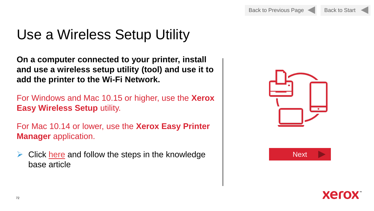# Use a Wireless Setup Utility

**On a computer connected to your printer, install and use a wireless setup utility (tool) and use it to add the printer to the Wi-Fi Network.**

For Windows and Mac 10.15 or higher, use the **Xerox Easy Wireless Setup** utility.

For Mac 10.14 or lower, use the **Xerox Easy Printer Manager** application.

 $\triangleright$  Click [here](https://www.support.xerox.com/en-us/article/en/2108711) and follow the steps in the knowledge base article